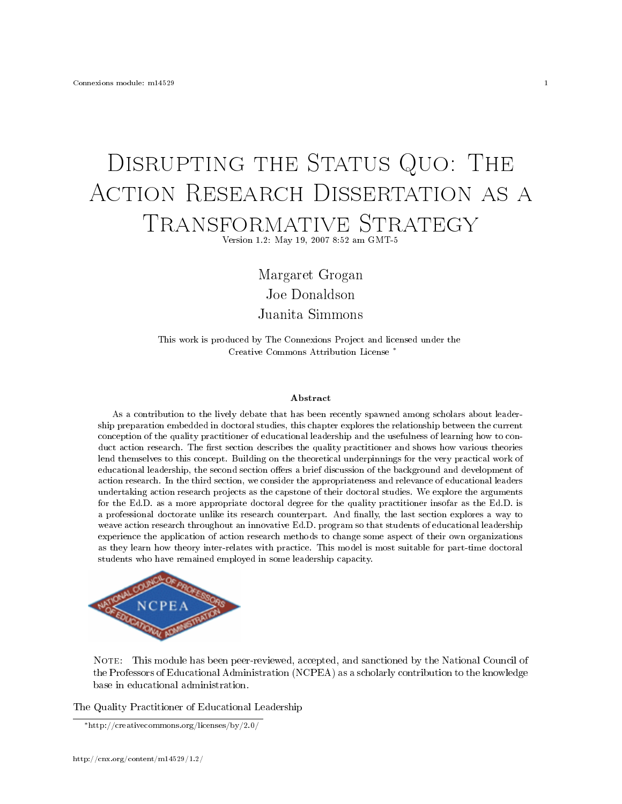## DISRUPTING THE STATUS QUO: THE ACTION RESEARCH DISSERTATION AS A TRANSFORMATIVE STRATEGY

Version 1.2: May 19, 2007 8:52 am GMT-5

Margaret Grogan Joe Donaldson Juanita Simmons

This work is produced by The Connexions Project and licensed under the Creative Commons Attribution License <sup>∗</sup>

## Abstract

As a contribution to the lively debate that has been recently spawned among scholars about leadership preparation embedded in doctoral studies, this chapter explores the relationship between the current conception of the quality practitioner of educational leadership and the usefulness of learning how to conduct action research. The first section describes the quality practitioner and shows how various theories lend themselves to this concept. Building on the theoretical underpinnings for the very practical work of educational leadership, the second section offers a brief discussion of the background and development of action research. In the third section, we consider the appropriateness and relevance of educational leaders undertaking action research projects as the capstone of their doctoral studies. We explore the arguments for the Ed.D. as a more appropriate doctoral degree for the quality practitioner insofar as the Ed.D. is a professional doctorate unlike its research counterpart. And finally, the last section explores a way to weave action research throughout an innovative Ed.D. program so that students of educational leadership experience the application of action research methods to change some aspect of their own organizations as they learn how theory inter-relates with practice. This model is most suitable for part-time doctoral students who have remained employed in some leadership capacity.



NOTE: This module has been peer-reviewed, accepted, and sanctioned by the National Council of the Professors of Educational Administration (NCPEA) as a scholarly contribution to the knowledge base in educational administration.

The Quality Practitioner of Educational Leadership

<sup>∗</sup>http://creativecommons.org/licenses/by/2.0/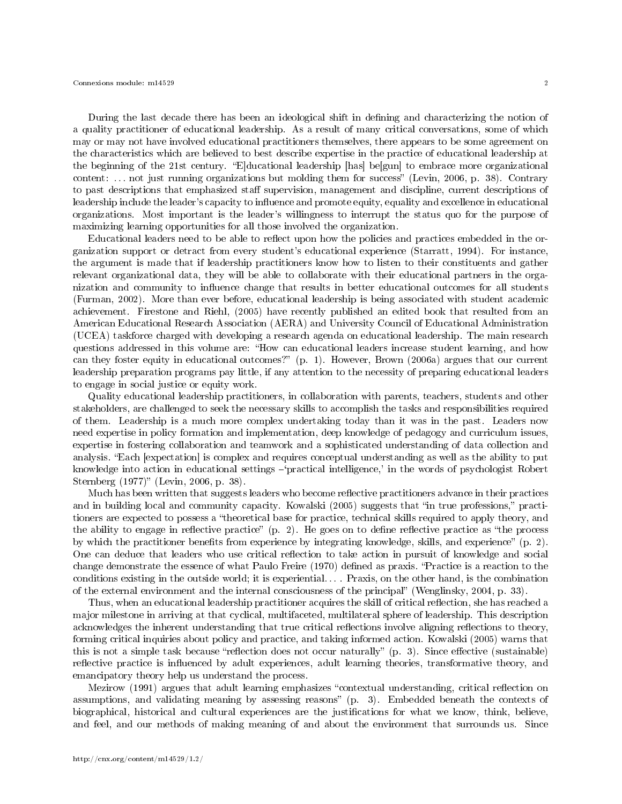During the last decade there has been an ideological shift in defining and characterizing the notion of a quality practitioner of educational leadership. As a result of many critical conversations, some of which may or may not have involved educational practitioners themselves, there appears to be some agreement on the characteristics which are believed to best describe expertise in the practice of educational leadership at the beginning of the 21st century. E]ducational leadership [has] be[gun] to embrace more organizational content: ... not just running organizations but molding them for success" (Levin, 2006, p. 38). Contrary to past descriptions that emphasized staff supervision, management and discipline, current descriptions of leadership include the leader's capacity to influence and promote equity, equality and excellence in educational organizations. Most important is the leader's willingness to interrupt the status quo for the purpose of maximizing learning opportunities for all those involved the organization.

Educational leaders need to be able to reflect upon how the policies and practices embedded in the organization support or detract from every student's educational experience (Starratt, 1994). For instance, the argument is made that if leadership practitioners know how to listen to their constituents and gather relevant organizational data, they will be able to collaborate with their educational partners in the organization and community to influence change that results in better educational outcomes for all students (Furman, 2002). More than ever before, educational leadership is being associated with student academic achievement. Firestone and Riehl, (2005) have recently published an edited book that resulted from an American Educational Research Association (AERA) and University Council of Educational Administration (UCEA) taskforce charged with developing a research agenda on educational leadership. The main research questions addressed in this volume are: How can educational leaders increase student learning, and how can they foster equity in educational outcomes?" (p. 1). However, Brown (2006a) argues that our current leadership preparation programs pay little, if any attention to the necessity of preparing educational leaders to engage in social justice or equity work.

Quality educational leadership practitioners, in collaboration with parents, teachers, students and other stakeholders, are challenged to seek the necessary skills to accomplish the tasks and responsibilities required of them. Leadership is a much more complex undertaking today than it was in the past. Leaders now need expertise in policy formation and implementation, deep knowledge of pedagogy and curriculum issues, expertise in fostering collaboration and teamwork and a sophisticated understanding of data collection and analysis. Each [expectation] is complex and requires conceptual understanding as well as the ability to put knowledge into action in educational settings  $\rightarrow$ practical intelligence,' in the words of psychologist Robert Sternberg (1977)" (Levin, 2006, p. 38).

Much has been written that suggests leaders who become reflective practitioners advance in their practices and in building local and community capacity. Kowalski (2005) suggests that "in true professions," practitioners are expected to possess a "theoretical base for practice, technical skills required to apply theory, and the ability to engage in reflective practice"  $(p, 2)$ . He goes on to define reflective practice as "the process" by which the practitioner benefits from experience by integrating knowledge, skills, and experience"  $(p, 2)$ . One can deduce that leaders who use critical reflection to take action in pursuit of knowledge and social change demonstrate the essence of what Paulo Freire (1970) defined as praxis. "Practice is a reaction to the conditions existing in the outside world; it is experiential. . . . Praxis, on the other hand, is the combination of the external environment and the internal consciousness of the principal" (Wenglinsky, 2004, p. 33).

Thus, when an educational leadership practitioner acquires the skill of critical reflection, she has reached a major milestone in arriving at that cyclical, multifaceted, multilateral sphere of leadership. This description acknowledges the inherent understanding that true critical reflections involve aligning reflections to theory, forming critical inquiries about policy and practice, and taking informed action. Kowalski (2005) warns that this is not a simple task because "reflection does not occur naturally"  $(p. 3)$ . Since effective (sustainable) reflective practice is influenced by adult experiences, adult learning theories, transformative theory, and emancipatory theory help us understand the process.

Mezirow (1991) argues that adult learning emphasizes "contextual understanding, critical reflection on assumptions, and validating meaning by assessing reasons"  $(p. 3)$ . Embedded beneath the contexts of biographical, historical and cultural experiences are the justifications for what we know, think, believe, and feel, and our methods of making meaning of and about the environment that surrounds us. Since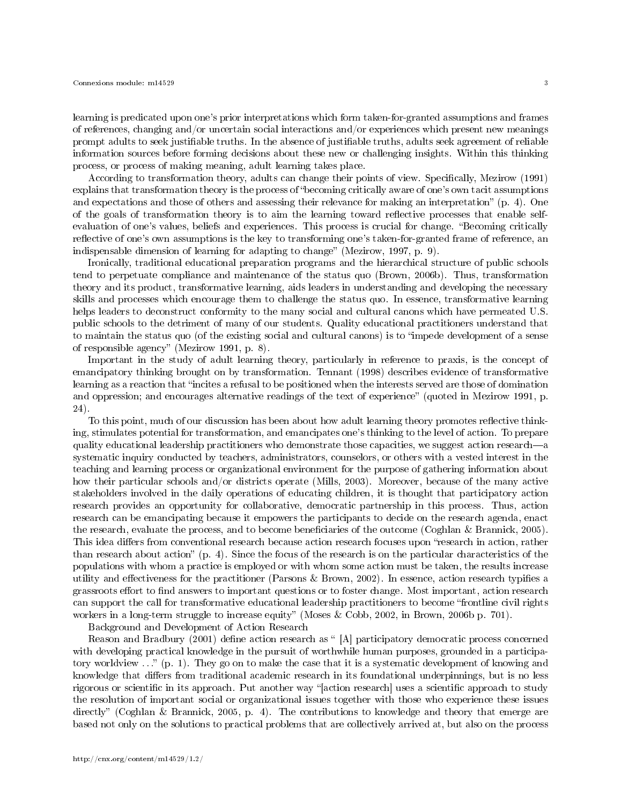learning is predicated upon one's prior interpretations which form taken-for-granted assumptions and frames of references, changing and/or uncertain social interactions and/or experiences which present new meanings prompt adults to seek justiable truths. In the absence of justiable truths, adults seek agreement of reliable information sources before forming decisions about these new or challenging insights. Within this thinking process, or process of making meaning, adult learning takes place.

According to transformation theory, adults can change their points of view. Specifically, Mezirow (1991) explains that transformation theory is the process of "becoming critically aware of one's own tacit assumptions and expectations and those of others and assessing their relevance for making an interpretation"  $(p, 4)$ . One of the goals of transformation theory is to aim the learning toward reflective processes that enable selfevaluation of one's values, beliefs and experiences. This process is crucial for change. "Becoming critically reflective of one's own assumptions is the key to transforming one's taken-for-granted frame of reference, an indispensable dimension of learning for adapting to change" (Mezirow, 1997, p. 9).

Ironically, traditional educational preparation programs and the hierarchical structure of public schools tend to perpetuate compliance and maintenance of the status quo (Brown, 2006b). Thus, transformation theory and its product, transformative learning, aids leaders in understanding and developing the necessary skills and processes which encourage them to challenge the status quo. In essence, transformative learning helps leaders to deconstruct conformity to the many social and cultural canons which have permeated U.S. public schools to the detriment of many of our students. Quality educational practitioners understand that to maintain the status quo (of the existing social and cultural canons) is to "impede development of a sense of responsible agency" (Mezirow 1991, p. 8).

Important in the study of adult learning theory, particularly in reference to praxis, is the concept of emancipatory thinking brought on by transformation. Tennant (1998) describes evidence of transformative learning as a reaction that "incites a refusal to be positioned when the interests served are those of domination and oppression; and encourages alternative readings of the text of experience" (quoted in Mezirow 1991, p. 24).

To this point, much of our discussion has been about how adult learning theory promotes reflective thinking, stimulates potential for transformation, and emancipates one's thinking to the level of action. To prepare quality educational leadership practitioners who demonstrate those capacities, we suggest action research—a systematic inquiry conducted by teachers, administrators, counselors, or others with a vested interest in the teaching and learning process or organizational environment for the purpose of gathering information about how their particular schools and/or districts operate (Mills, 2003). Moreover, because of the many active stakeholders involved in the daily operations of educating children, it is thought that participatory action research provides an opportunity for collaborative, democratic partnership in this process. Thus, action research can be emancipating because it empowers the participants to decide on the research agenda, enact the research, evaluate the process, and to become beneficiaries of the outcome (Coghlan & Brannick, 2005). This idea differs from conventional research because action research focuses upon "research in action, rather than research about action"  $(p, 4)$ . Since the focus of the research is on the particular characteristics of the populations with whom a practice is employed or with whom some action must be taken, the results increase utility and effectiveness for the practitioner (Parsons  $\&$  Brown, 2002). In essence, action research typifies a grassroots effort to find answers to important questions or to foster change. Most important, action research can support the call for transformative educational leadership practitioners to become frontline civil rights workers in a long-term struggle to increase equity" (Moses & Cobb, 2002, in Brown, 2006b p. 701).

Background and Development of Action Research

Reason and Bradbury (2001) define action research as "[A] participatory democratic process concerned with developing practical knowledge in the pursuit of worthwhile human purposes, grounded in a participatory worldview ..." (p. 1). They go on to make the case that it is a systematic development of knowing and knowledge that differs from traditional academic research in its foundational underpinnings, but is no less rigorous or scientific in its approach. Put another way "[action research] uses a scientific approach to study the resolution of important social or organizational issues together with those who experience these issues directly" (Coghlan & Brannick, 2005, p. 4). The contributions to knowledge and theory that emerge are based not only on the solutions to practical problems that are collectively arrived at, but also on the process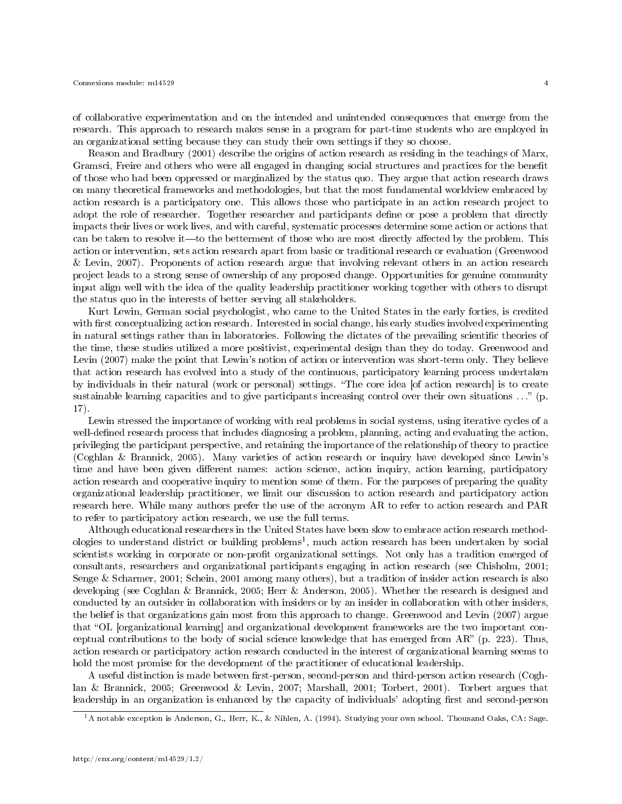of collaborative experimentation and on the intended and unintended consequences that emerge from the research. This approach to research makes sense in a program for part-time students who are employed in an organizational setting because they can study their own settings if they so choose.

Reason and Bradbury (2001) describe the origins of action research as residing in the teachings of Marx, Gramsci, Freire and others who were all engaged in changing social structures and practices for the benet of those who had been oppressed or marginalized by the status quo. They argue that action research draws on many theoretical frameworks and methodologies, but that the most fundamental worldview embraced by action research is a participatory one. This allows those who participate in an action research project to adopt the role of researcher. Together researcher and participants dene or pose a problem that directly impacts their lives or work lives, and with careful, systematic processes determine some action or actions that can be taken to resolve it—to the betterment of those who are most directly affected by the problem. This action or intervention, sets action research apart from basic or traditional research or evaluation (Greenwood & Levin, 2007). Proponents of action research argue that involving relevant others in an action research project leads to a strong sense of ownership of any proposed change. Opportunities for genuine community input align well with the idea of the quality leadership practitioner working together with others to disrupt the status quo in the interests of better serving all stakeholders.

Kurt Lewin, German social psychologist, who came to the United States in the early forties, is credited with first conceptualizing action research. Interested in social change, his early studies involved experimenting in natural settings rather than in laboratories. Following the dictates of the prevailing scientific theories of the time, these studies utilized a more positivist, experimental design than they do today. Greenwood and Levin (2007) make the point that Lewin's notion of action or intervention was short-term only. They believe that action research has evolved into a study of the continuous, participatory learning process undertaken by individuals in their natural (work or personal) settings. The core idea [of action research] is to create sustainable learning capacities and to give participants increasing control over their own situations . . . (p. 17).

Lewin stressed the importance of working with real problems in social systems, using iterative cycles of a well-defined research process that includes diagnosing a problem, planning, acting and evaluating the action, privileging the participant perspective, and retaining the importance of the relationship of theory to practice (Coghlan & Brannick, 2005). Many varieties of action research or inquiry have developed since Lewin's time and have been given different names: action science, action inquiry, action learning, participatory action research and cooperative inquiry to mention some of them. For the purposes of preparing the quality organizational leadership practitioner, we limit our discussion to action research and participatory action research here. While many authors prefer the use of the acronym AR to refer to action research and PAR to refer to participatory action research, we use the full terms.

Although educational researchers in the United States have been slow to embrace action research methodologies to understand district or building problems<sup>1</sup>, much action research has been undertaken by social scientists working in corporate or non-profit organizational settings. Not only has a tradition emerged of consultants, researchers and organizational participants engaging in action research (see Chisholm, 2001; Senge & Scharmer, 2001; Schein, 2001 among many others), but a tradition of insider action research is also developing (see Coghlan & Brannick, 2005; Herr & Anderson, 2005). Whether the research is designed and conducted by an outsider in collaboration with insiders or by an insider in collaboration with other insiders, the belief is that organizations gain most from this approach to change. Greenwood and Levin (2007) argue that OL [organizational learning] and organizational development frameworks are the two important conceptual contributions to the body of social science knowledge that has emerged from  $AR^{\prime\prime}$  (p. 223). Thus, action research or participatory action research conducted in the interest of organizational learning seems to hold the most promise for the development of the practitioner of educational leadership.

A useful distinction is made between first-person, second-person and third-person action research (Coghlan & Brannick, 2005; Greenwood & Levin, 2007; Marshall, 2001; Torbert, 2001). Torbert argues that leadership in an organization is enhanced by the capacity of individuals' adopting first and second-person

<sup>1</sup>A notable exception is Anderson, G., Herr, K., & Nihlen, A. (1994). Studying your own school. Thousand Oaks, CA: Sage.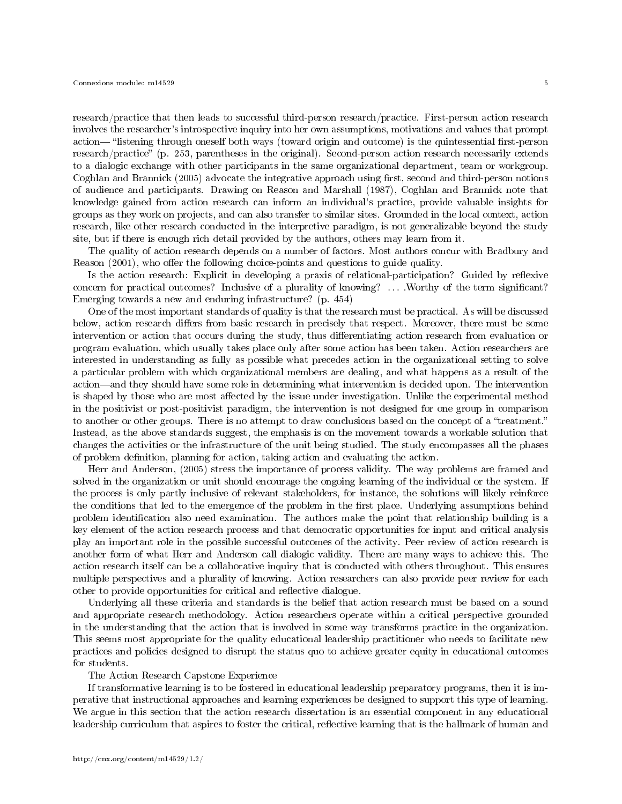research/practice that then leads to successful third-person research/practice. First-person action research involves the researcher's introspective inquiry into her own assumptions, motivations and values that prompt action— "listening through oneself both ways (toward origin and outcome) is the quintessential first-person research/practice" (p. 253, parentheses in the original). Second-person action research necessarily extends to a dialogic exchange with other participants in the same organizational department, team or workgroup. Coghlan and Brannick (2005) advocate the integrative approach using first, second and third-person notions of audience and participants. Drawing on Reason and Marshall (1987), Coghlan and Brannick note that knowledge gained from action research can inform an individual's practice, provide valuable insights for groups as they work on projects, and can also transfer to similar sites. Grounded in the local context, action research, like other research conducted in the interpretive paradigm, is not generalizable beyond the study site, but if there is enough rich detail provided by the authors, others may learn from it.

The quality of action research depends on a number of factors. Most authors concur with Bradbury and Reason (2001), who offer the following choice-points and questions to guide quality.

Is the action research: Explicit in developing a praxis of relational-participation? Guided by reflexive concern for practical outcomes? Inclusive of a plurality of knowing? ... .Worthy of the term significant? Emerging towards a new and enduring infrastructure? (p. 454)

One of the most important standards of quality is that the research must be practical. As will be discussed below, action research differs from basic research in precisely that respect. Moreover, there must be some intervention or action that occurs during the study, thus differentiating action research from evaluation or program evaluation, which usually takes place only after some action has been taken. Action researchers are interested in understanding as fully as possible what precedes action in the organizational setting to solve a particular problem with which organizational members are dealing, and what happens as a result of the action—and they should have some role in determining what intervention is decided upon. The intervention is shaped by those who are most affected by the issue under investigation. Unlike the experimental method in the positivist or post-positivist paradigm, the intervention is not designed for one group in comparison to another or other groups. There is no attempt to draw conclusions based on the concept of a "treatment." Instead, as the above standards suggest, the emphasis is on the movement towards a workable solution that changes the activities or the infrastructure of the unit being studied. The study encompasses all the phases of problem definition, planning for action, taking action and evaluating the action.

Herr and Anderson, (2005) stress the importance of process validity. The way problems are framed and solved in the organization or unit should encourage the ongoing learning of the individual or the system. If the process is only partly inclusive of relevant stakeholders, for instance, the solutions will likely reinforce the conditions that led to the emergence of the problem in the first place. Underlying assumptions behind problem identification also need examination. The authors make the point that relationship building is a key element of the action research process and that democratic opportunities for input and critical analysis play an important role in the possible successful outcomes of the activity. Peer review of action research is another form of what Herr and Anderson call dialogic validity. There are many ways to achieve this. The action research itself can be a collaborative inquiry that is conducted with others throughout. This ensures multiple perspectives and a plurality of knowing. Action researchers can also provide peer review for each other to provide opportunities for critical and reflective dialogue.

Underlying all these criteria and standards is the belief that action research must be based on a sound and appropriate research methodology. Action researchers operate within a critical perspective grounded in the understanding that the action that is involved in some way transforms practice in the organization. This seems most appropriate for the quality educational leadership practitioner who needs to facilitate new practices and policies designed to disrupt the status quo to achieve greater equity in educational outcomes for students.

The Action Research Capstone Experience

If transformative learning is to be fostered in educational leadership preparatory programs, then it is imperative that instructional approaches and learning experiences be designed to support this type of learning. We argue in this section that the action research dissertation is an essential component in any educational leadership curriculum that aspires to foster the critical, reflective learning that is the hallmark of human and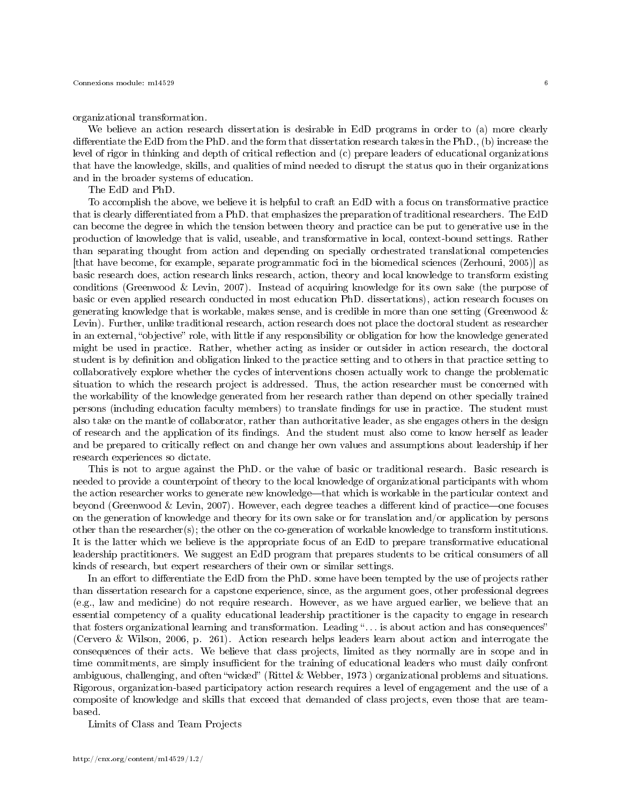organizational transformation.

We believe an action research dissertation is desirable in EdD programs in order to (a) more clearly differentiate the EdD from the PhD. and the form that dissertation research takes in the PhD., (b) increase the level of rigor in thinking and depth of critical reflection and (c) prepare leaders of educational organizations that have the knowledge, skills, and qualities of mind needed to disrupt the status quo in their organizations and in the broader systems of education.

The EdD and PhD.

To accomplish the above, we believe it is helpful to craft an EdD with a focus on transformative practice that is clearly differentiated from a PhD. that emphasizes the preparation of traditional researchers. The EdD can become the degree in which the tension between theory and practice can be put to generative use in the production of knowledge that is valid, useable, and transformative in local, context-bound settings. Rather than separating thought from action and depending on specially orchestrated translational competencies [that have become, for example, separate programmatic foci in the biomedical sciences (Zerhouni, 2005)] as basic research does, action research links research, action, theory and local knowledge to transform existing conditions (Greenwood & Levin, 2007). Instead of acquiring knowledge for its own sake (the purpose of basic or even applied research conducted in most education PhD. dissertations), action research focuses on generating knowledge that is workable, makes sense, and is credible in more than one setting (Greenwood  $\&$ Levin). Further, unlike traditional research, action research does not place the doctoral student as researcher in an external, "objective" role, with little if any responsibility or obligation for how the knowledge generated might be used in practice. Rather, whether acting as insider or outsider in action research, the doctoral student is by definition and obligation linked to the practice setting and to others in that practice setting to collaboratively explore whether the cycles of interventions chosen actually work to change the problematic situation to which the research project is addressed. Thus, the action researcher must be concerned with the workability of the knowledge generated from her research rather than depend on other specially trained persons (including education faculty members) to translate findings for use in practice. The student must also take on the mantle of collaborator, rather than authoritative leader, as she engages others in the design of research and the application of its findings. And the student must also come to know herself as leader and be prepared to critically reflect on and change her own values and assumptions about leadership if her research experiences so dictate.

This is not to argue against the PhD. or the value of basic or traditional research. Basic research is needed to provide a counterpoint of theory to the local knowledge of organizational participants with whom the action researcher works to generate new knowledge—that which is workable in the particular context and beyond (Greenwood & Levin, 2007). However, each degree teaches a different kind of practice—one focuses on the generation of knowledge and theory for its own sake or for translation and/or application by persons other than the researcher(s); the other on the co-generation of workable knowledge to transform institutions. It is the latter which we believe is the appropriate focus of an EdD to prepare transformative educational leadership practitioners. We suggest an EdD program that prepares students to be critical consumers of all kinds of research, but expert researchers of their own or similar settings.

In an effort to differentiate the EdD from the PhD. some have been tempted by the use of projects rather than dissertation research for a capstone experience, since, as the argument goes, other professional degrees (e.g., law and medicine) do not require research. However, as we have argued earlier, we believe that an essential competency of a quality educational leadership practitioner is the capacity to engage in research that fosters organizational learning and transformation. Leading "... is about action and has consequences" (Cervero & Wilson, 2006, p. 261). Action research helps leaders learn about action and interrogate the consequences of their acts. We believe that class projects, limited as they normally are in scope and in time commitments, are simply insufficient for the training of educational leaders who must daily confront ambiguous, challenging, and often "wicked" (Rittel & Webber, 1973) organizational problems and situations. Rigorous, organization-based participatory action research requires a level of engagement and the use of a composite of knowledge and skills that exceed that demanded of class projects, even those that are teambased.

Limits of Class and Team Projects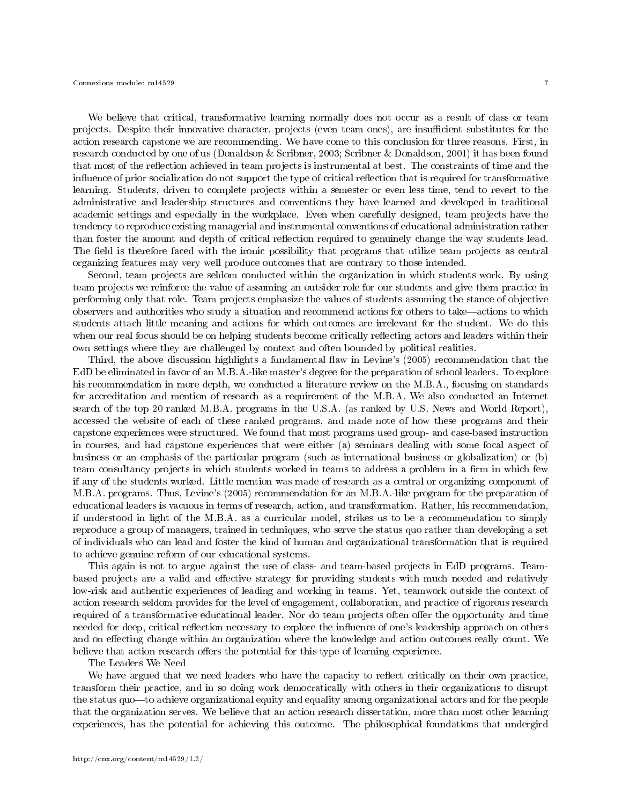We believe that critical, transformative learning normally does not occur as a result of class or team projects. Despite their innovative character, projects (even team ones), are insufficient substitutes for the action research capstone we are recommending. We have come to this conclusion for three reasons. First, in research conducted by one of us (Donaldson & Scribner, 2003; Scribner & Donaldson, 2001) it has been found that most of the reflection achieved in team projects is instrumental at best. The constraints of time and the influence of prior socialization do not support the type of critical reflection that is required for transformative learning. Students, driven to complete projects within a semester or even less time, tend to revert to the administrative and leadership structures and conventions they have learned and developed in traditional academic settings and especially in the workplace. Even when carefully designed, team projects have the tendency to reproduce existing managerial and instrumental conventions of educational administration rather than foster the amount and depth of critical reflection required to genuinely change the way students lead. The field is therefore faced with the ironic possibility that programs that utilize team projects as central organizing features may very well produce outcomes that are contrary to those intended.

Second, team projects are seldom conducted within the organization in which students work. By using team projects we reinforce the value of assuming an outsider role for our students and give them practice in performing only that role. Team projects emphasize the values of students assuming the stance of objective observers and authorities who study a situation and recommend actions for others to take—actions to which students attach little meaning and actions for which outcomes are irrelevant for the student. We do this when our real focus should be on helping students become critically reflecting actors and leaders within their own settings where they are challenged by context and often bounded by political realities.

Third, the above discussion highlights a fundamental flaw in Levine's (2005) recommendation that the EdD be eliminated in favor of an M.B.A.-like master's degree for the preparation of school leaders. To explore his recommendation in more depth, we conducted a literature review on the M.B.A., focusing on standards for accreditation and mention of research as a requirement of the M.B.A. We also conducted an Internet search of the top 20 ranked M.B.A. programs in the U.S.A. (as ranked by U.S. News and World Report), accessed the website of each of these ranked programs, and made note of how these programs and their capstone experiences were structured. We found that most programs used group- and case-based instruction in courses, and had capstone experiences that were either (a) seminars dealing with some focal aspect of business or an emphasis of the particular program (such as international business or globalization) or (b) team consultancy projects in which students worked in teams to address a problem in a firm in which few if any of the students worked. Little mention was made of research as a central or organizing component of M.B.A. programs. Thus, Levine's (2005) recommendation for an M.B.A.-like program for the preparation of educational leaders is vacuous in terms of research, action, and transformation. Rather, his recommendation, if understood in light of the M.B.A. as a curricular model, strikes us to be a recommendation to simply reproduce a group of managers, trained in techniques, who serve the status quo rather than developing a set of individuals who can lead and foster the kind of human and organizational transformation that is required to achieve genuine reform of our educational systems.

This again is not to argue against the use of class- and team-based projects in EdD programs. Teambased projects are a valid and effective strategy for providing students with much needed and relatively low-risk and authentic experiences of leading and working in teams. Yet, teamwork outside the context of action research seldom provides for the level of engagement, collaboration, and practice of rigorous research required of a transformative educational leader. Nor do team projects often offer the opportunity and time needed for deep, critical reflection necessary to explore the influence of one's leadership approach on others and on effecting change within an organization where the knowledge and action outcomes really count. We believe that action research offers the potential for this type of learning experience.

The Leaders We Need

We have argued that we need leaders who have the capacity to reflect critically on their own practice, transform their practice, and in so doing work democratically with others in their organizations to disrupt the status quo—to achieve organizational equity and equality among organizational actors and for the people that the organization serves. We believe that an action research dissertation, more than most other learning experiences, has the potential for achieving this outcome. The philosophical foundations that undergird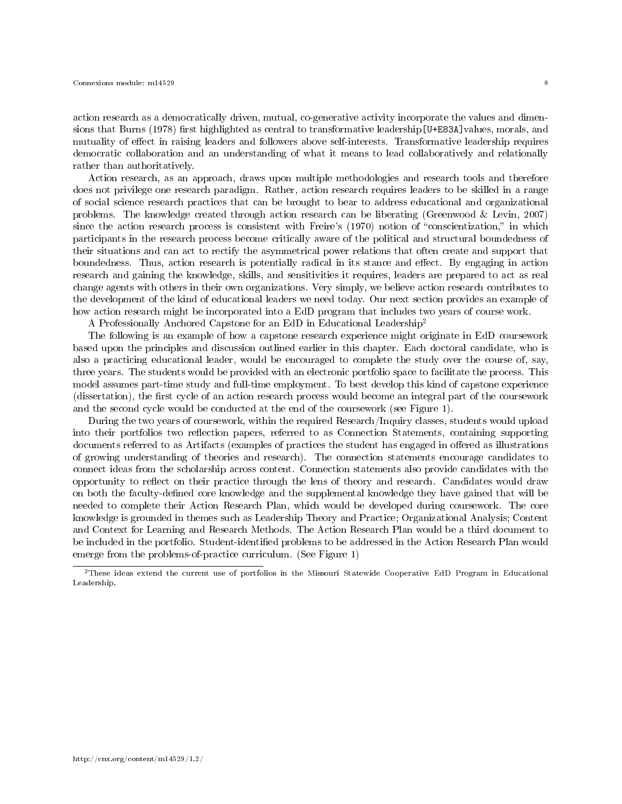action research as a democratically driven, mutual, co-generative activity incorporate the values and dimensions that Burns (1978) first highlighted as central to transformative leadership [U+E83A] values, morals, and mutuality of effect in raising leaders and followers above self-interests. Transformative leadership requires democratic collaboration and an understanding of what it means to lead collaboratively and relationally rather than authoritatively.

Action research, as an approach, draws upon multiple methodologies and research tools and therefore does not privilege one research paradigm. Rather, action research requires leaders to be skilled in a range of social science research practices that can be brought to bear to address educational and organizational problems. The knowledge created through action research can be liberating (Greenwood & Levin, 2007) since the action research process is consistent with Freire's (1970) notion of "conscientization," in which participants in the research process become critically aware of the political and structural boundedness of their situations and can act to rectify the asymmetrical power relations that often create and support that boundedness. Thus, action research is potentially radical in its stance and effect. By engaging in action research and gaining the knowledge, skills, and sensitivities it requires, leaders are prepared to act as real change agents with others in their own organizations. Very simply, we believe action research contributes to the development of the kind of educational leaders we need today. Our next section provides an example of how action research might be incorporated into a EdD program that includes two years of course work.

A Professionally Anchored Capstone for an EdD in Educational Leadership<sup>2</sup>

The following is an example of how a capstone research experience might originate in EdD coursework based upon the principles and discussion outlined earlier in this chapter. Each doctoral candidate, who is also a practicing educational leader, would be encouraged to complete the study over the course of, say, three years. The students would be provided with an electronic portfolio space to facilitate the process. This model assumes part-time study and full-time employment. To best develop this kind of capstone experience (dissertation), the first cycle of an action research process would become an integral part of the coursework and the second cycle would be conducted at the end of the coursework (see Figure 1).

During the two years of coursework, within the required Research/Inquiry classes, students would upload into their portfolios two reflection papers, referred to as Connection Statements, containing supporting documents referred to as Artifacts (examples of practices the student has engaged in offered as illustrations of growing understanding of theories and research). The connection statements encourage candidates to connect ideas from the scholarship across content. Connection statements also provide candidates with the opportunity to reflect on their practice through the lens of theory and research. Candidates would draw on both the faculty-defined core knowledge and the supplemental knowledge they have gained that will be needed to complete their Action Research Plan, which would be developed during coursework. The core knowledge is grounded in themes such as Leadership Theory and Practice; Organizational Analysis; Content and Context for Learning and Research Methods. The Action Research Plan would be a third document to be included in the portfolio. Student-identified problems to be addressed in the Action Research Plan would emerge from the problems-of-practice curriculum. (See Figure 1)

 $^{2}$ These ideas extend the current use of portfolios in the Missouri Statewide Cooperative EdD Program in Educational Leadership.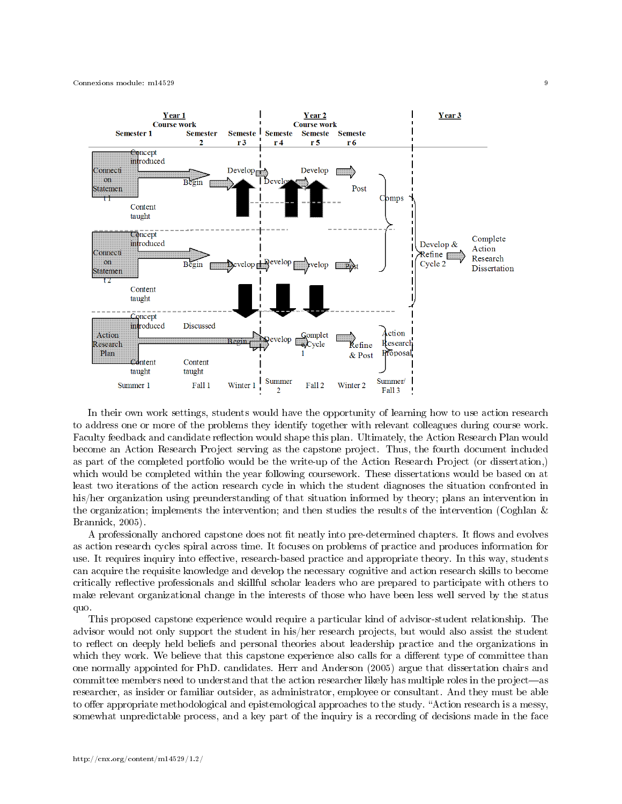

In their own work settings, students would have the opportunity of learning how to use action research to address one or more of the problems they identify together with relevant colleagues during course work. Faculty feedback and candidate reflection would shape this plan. Ultimately, the Action Research Plan would become an Action Research Project serving as the capstone project. Thus, the fourth document included as part of the completed portfolio would be the write-up of the Action Research Project (or dissertation,) which would be completed within the year following coursework. These dissertations would be based on at least two iterations of the action research cycle in which the student diagnoses the situation confronted in his/her organization using preunderstanding of that situation informed by theory; plans an intervention in the organization; implements the intervention; and then studies the results of the intervention (Coghlan & Brannick, 2005).

A professionally anchored capstone does not fit neatly into pre-determined chapters. It flows and evolves as action research cycles spiral across time. It focuses on problems of practice and produces information for use. It requires inquiry into effective, research-based practice and appropriate theory. In this way, students can acquire the requisite knowledge and develop the necessary cognitive and action research skills to become critically reflective professionals and skillful scholar leaders who are prepared to participate with others to make relevant organizational change in the interests of those who have been less well served by the status quo.

This proposed capstone experience would require a particular kind of advisor-student relationship. The advisor would not only support the student in his/her research projects, but would also assist the student to reflect on deeply held beliefs and personal theories about leadership practice and the organizations in which they work. We believe that this capstone experience also calls for a different type of committee than one normally appointed for PhD. candidates. Herr and Anderson (2005) argue that dissertation chairs and committee members need to understand that the action researcher likely has multiple roles in the project—as researcher, as insider or familiar outsider, as administrator, employee or consultant. And they must be able to offer appropriate methodological and epistemological approaches to the study. "Action research is a messy, somewhat unpredictable process, and a key part of the inquiry is a recording of decisions made in the face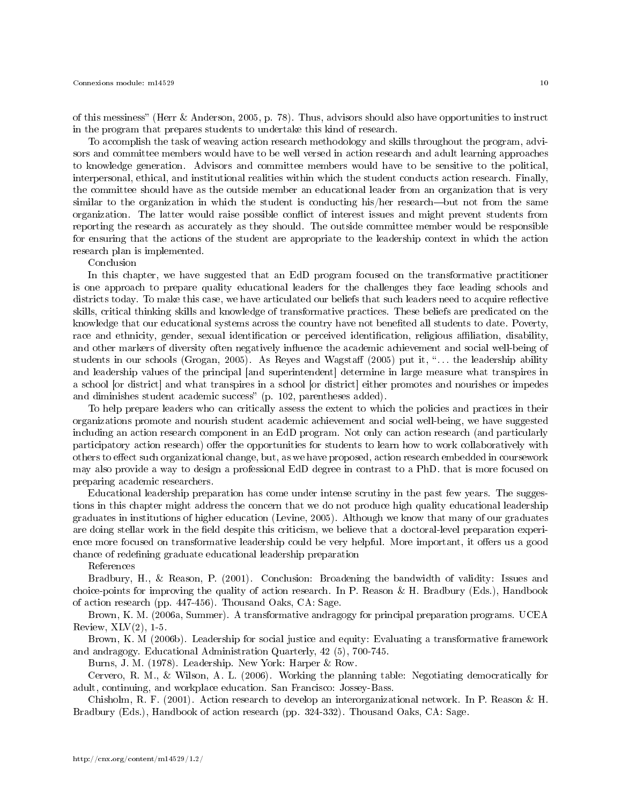of this messiness" (Herr & Anderson, 2005, p. 78). Thus, advisors should also have opportunities to instruct in the program that prepares students to undertake this kind of research.

To accomplish the task of weaving action research methodology and skills throughout the program, advisors and committee members would have to be well versed in action research and adult learning approaches to knowledge generation. Advisors and committee members would have to be sensitive to the political, interpersonal, ethical, and institutional realities within which the student conducts action research. Finally, the committee should have as the outside member an educational leader from an organization that is very similar to the organization in which the student is conducting his/her research—but not from the same organization. The latter would raise possible conflict of interest issues and might prevent students from reporting the research as accurately as they should. The outside committee member would be responsible for ensuring that the actions of the student are appropriate to the leadership context in which the action research plan is implemented.

Conclusion

In this chapter, we have suggested that an EdD program focused on the transformative practitioner is one approach to prepare quality educational leaders for the challenges they face leading schools and districts today. To make this case, we have articulated our beliefs that such leaders need to acquire reflective skills, critical thinking skills and knowledge of transformative practices. These beliefs are predicated on the knowledge that our educational systems across the country have not benefited all students to date. Poverty, race and ethnicity, gender, sexual identification or perceived identification, religious affiliation, disability, and other markers of diversity often negatively influence the academic achievement and social well-being of students in our schools (Grogan, 2005). As Reyes and Wagstaff  $(2005)$  put it, "... the leadership ability and leadership values of the principal [and superintendent] determine in large measure what transpires in a school [or district] and what transpires in a school [or district] either promotes and nourishes or impedes and diminishes student academic success" (p. 102, parentheses added).

To help prepare leaders who can critically assess the extent to which the policies and practices in their organizations promote and nourish student academic achievement and social well-being, we have suggested including an action research component in an EdD program. Not only can action research (and particularly participatory action research) offer the opportunities for students to learn how to work collaboratively with others to effect such organizational change, but, as we have proposed, action research embedded in coursework may also provide a way to design a professional EdD degree in contrast to a PhD. that is more focused on preparing academic researchers.

Educational leadership preparation has come under intense scrutiny in the past few years. The suggestions in this chapter might address the concern that we do not produce high quality educational leadership graduates in institutions of higher education (Levine, 2005). Although we know that many of our graduates are doing stellar work in the field despite this criticism, we believe that a doctoral-level preparation experience more focused on transformative leadership could be very helpful. More important, it offers us a good chance of redefining graduate educational leadership preparation

References

Bradbury, H., & Reason, P. (2001). Conclusion: Broadening the bandwidth of validity: Issues and choice-points for improving the quality of action research. In P. Reason & H. Bradbury (Eds.), Handbook of action research (pp. 447-456). Thousand Oaks, CA: Sage.

Brown, K. M. (2006a, Summer). A transformative andragogy for principal preparation programs. UCEA Review,  $XLV(2)$ , 1-5.

Brown, K. M (2006b). Leadership for social justice and equity: Evaluating a transformative framework and andragogy. Educational Administration Quarterly, 42 (5), 700-745.

Burns, J. M. (1978). Leadership. New York: Harper & Row.

Cervero, R. M., & Wilson, A. L. (2006). Working the planning table: Negotiating democratically for adult, continuing, and workplace education. San Francisco: Jossey-Bass.

Chisholm, R. F. (2001). Action research to develop an interorganizational network. In P. Reason & H. Bradbury (Eds.), Handbook of action research (pp. 324-332). Thousand Oaks, CA: Sage.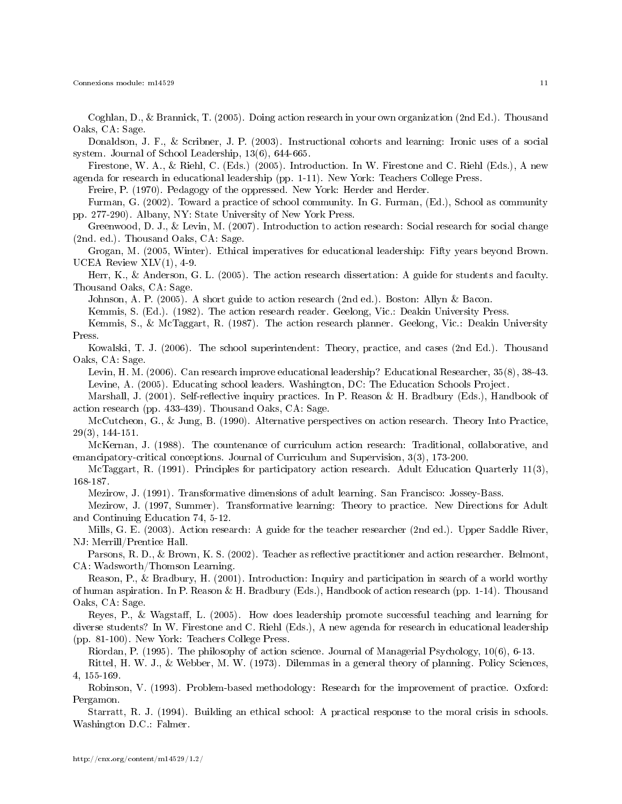Connexions module: m14529 11

Coghlan, D., & Brannick, T. (2005). Doing action research in your own organization (2nd Ed.). Thousand Oaks, CA: Sage.

Donaldson, J. F., & Scribner, J. P. (2003). Instructional cohorts and learning: Ironic uses of a social system. Journal of School Leadership, 13(6), 644-665.

Firestone, W. A., & Riehl, C. (Eds.) (2005). Introduction. In W. Firestone and C. Riehl (Eds.), A new agenda for research in educational leadership (pp. 1-11). New York: Teachers College Press.

Freire, P. (1970). Pedagogy of the oppressed. New York: Herder and Herder.

Furman, G. (2002). Toward a practice of school community. In G. Furman, (Ed.), School as community pp. 277-290). Albany, NY: State University of New York Press.

Greenwood, D. J., & Levin, M. (2007). Introduction to action research: Social research for social change (2nd. ed.). Thousand Oaks, CA: Sage.

Grogan, M. (2005, Winter). Ethical imperatives for educational leadership: Fifty years beyond Brown. UCEA Review  $XLV(1)$ , 4-9.

Herr, K., & Anderson, G. L. (2005). The action research dissertation: A guide for students and faculty. Thousand Oaks, CA: Sage.

Johnson, A. P. (2005). A short guide to action research (2nd ed.). Boston: Allyn & Bacon.

Kemmis, S. (Ed.). (1982). The action research reader. Geelong, Vic.: Deakin University Press.

Kemmis, S., & McTaggart, R. (1987). The action research planner. Geelong, Vic.: Deakin University Press.

Kowalski, T. J. (2006). The school superintendent: Theory, practice, and cases (2nd Ed.). Thousand Oaks, CA: Sage.

Levin, H. M. (2006). Can research improve educational leadership? Educational Researcher, 35(8), 38-43. Levine, A. (2005). Educating school leaders. Washington, DC: The Education Schools Project.

Marshall, J. (2001). Self-reflective inquiry practices. In P. Reason & H. Bradbury (Eds.), Handbook of action research (pp. 433-439). Thousand Oaks, CA: Sage.

McCutcheon, G., & Jung, B. (1990). Alternative perspectives on action research. Theory Into Practice, 29(3), 144-151.

McKernan, J. (1988). The countenance of curriculum action research: Traditional, collaborative, and emancipatory-critical conceptions. Journal of Curriculum and Supervision, 3(3), 173-200.

McTaggart, R. (1991). Principles for participatory action research. Adult Education Quarterly 11(3), 168-187.

Mezirow, J. (1991). Transformative dimensions of adult learning. San Francisco: Jossey-Bass.

Mezirow, J. (1997, Summer). Transformative learning: Theory to practice. New Directions for Adult and Continuing Education 74, 5-12.

Mills, G. E. (2003). Action research: A guide for the teacher researcher (2nd ed.). Upper Saddle River, NJ: Merrill/Prentice Hall.

Parsons, R. D., & Brown, K. S. (2002). Teacher as reflective practitioner and action researcher. Belmont, CA: Wadsworth/Thomson Learning.

Reason, P., & Bradbury, H. (2001). Introduction: Inquiry and participation in search of a world worthy of human aspiration. In P. Reason & H. Bradbury (Eds.), Handbook of action research (pp. 1-14). Thousand Oaks, CA: Sage.

Reyes, P., & Wagstaff, L. (2005). How does leadership promote successful teaching and learning for diverse students? In W. Firestone and C. Riehl (Eds.), A new agenda for research in educational leadership (pp. 81-100). New York: Teachers College Press.

Riordan, P. (1995). The philosophy of action science. Journal of Managerial Psychology, 10(6), 6-13.

Rittel, H. W. J., & Webber, M. W. (1973). Dilemmas in a general theory of planning. Policy Sciences, 4, 155-169.

Robinson, V. (1993). Problem-based methodology: Research for the improvement of practice. Oxford: Pergamon.

Starratt, R. J. (1994). Building an ethical school: A practical response to the moral crisis in schools. Washington D.C.: Falmer.